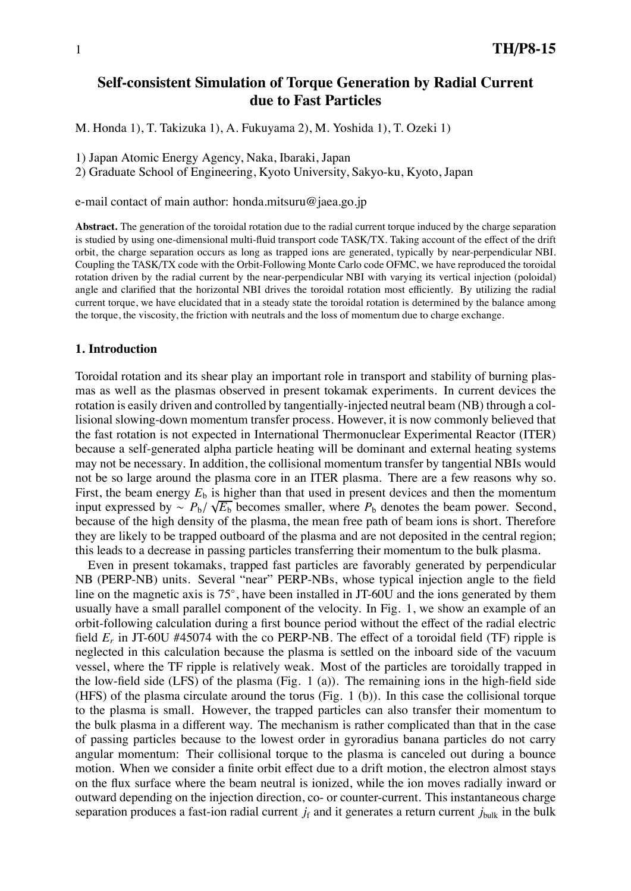# **Self-consistent Simulation of Torque Generation by Radial Current due to Fast Particles**

M. Honda 1), T. Takizuka 1), A. Fukuyama 2), M. Yoshida 1), T. Ozeki 1)

1) Japan Atomic Energy Agency, Naka, Ibaraki, Japan

2) Graduate School of Engineering, Kyoto University, Sakyo-ku, Kyoto, Japan

e-mail contact of main author: honda.mitsuru@jaea.go.jp

**Abstract.** The generation of the toroidal rotation due to the radial current torque induced by the charge separation is studied by using one-dimensional multi-fluid transport code TASK/TX. Taking account of the effect of the drift orbit, the charge separation occurs as long as trapped ions are generated, typically by near-perpendicular NBI. Coupling the TASK/TX code with the Orbit-Following Monte Carlo code OFMC, we have reproduced the toroidal rotation driven by the radial current by the near-perpendicular NBI with varying its vertical injection (poloidal) angle and clarified that the horizontal NBI drives the toroidal rotation most efficiently. By utilizing the radial current torque, we have elucidated that in a steady state the toroidal rotation is determined by the balance among the torque, the viscosity, the friction with neutrals and the loss of momentum due to charge exchange.

#### **1. Introduction**

Toroidal rotation and its shear play an important role in transport and stability of burning plasmas as well as the plasmas observed in present tokamak experiments. In current devices the rotation is easily driven and controlled by tangentially-injected neutral beam (NB) through a collisional slowing-down momentum transfer process. However, it is now commonly believed that the fast rotation is not expected in International Thermonuclear Experimental Reactor (ITER) because a self-generated alpha particle heating will be dominant and external heating systems may not be necessary. In addition, the collisional momentum transfer by tangential NBIs would not be so large around the plasma core in an ITER plasma. There are a few reasons why so. First, the beam energy  $E<sub>b</sub>$  is higher than that used in present devices and then the momentum input expressed by  $\sim P_b / \sqrt{E_b}$  becomes smaller, where  $P_b$  denotes the beam power. Second, because of the high density of the plasma, the mean free path of beam ions is short. Therefore they are likely to be trapped outboard of the plasma and are not deposited in the central region; this leads to a decrease in passing particles transferring their momentum to the bulk plasma.

Even in present tokamaks, trapped fast particles are favorably generated by perpendicular NB (PERP-NB) units. Several "near" PERP-NBs, whose typical injection angle to the field line on the magnetic axis is 75◦, have been installed in JT-60U and the ions generated by them usually have a small parallel component of the velocity. In Fig. 1, we show an example of an orbit-following calculation during a first bounce period without the effect of the radial electric field *Er* in JT-60U #45074 with the co PERP-NB. The effect of a toroidal field (TF) ripple is neglected in this calculation because the plasma is settled on the inboard side of the vacuum vessel, where the TF ripple is relatively weak. Most of the particles are toroidally trapped in the low-field side (LFS) of the plasma (Fig. 1 (a)). The remaining ions in the high-field side (HFS) of the plasma circulate around the torus (Fig. 1 (b)). In this case the collisional torque to the plasma is small. However, the trapped particles can also transfer their momentum to the bulk plasma in a different way. The mechanism is rather complicated than that in the case of passing particles because to the lowest order in gyroradius banana particles do not carry angular momentum: Their collisional torque to the plasma is canceled out during a bounce motion. When we consider a finite orbit effect due to a drift motion, the electron almost stays on the flux surface where the beam neutral is ionized, while the ion moves radially inward or outward depending on the injection direction, co- or counter-current. This instantaneous charge separation produces a fast-ion radial current  $j_f$  and it generates a return current  $j_{bulk}$  in the bulk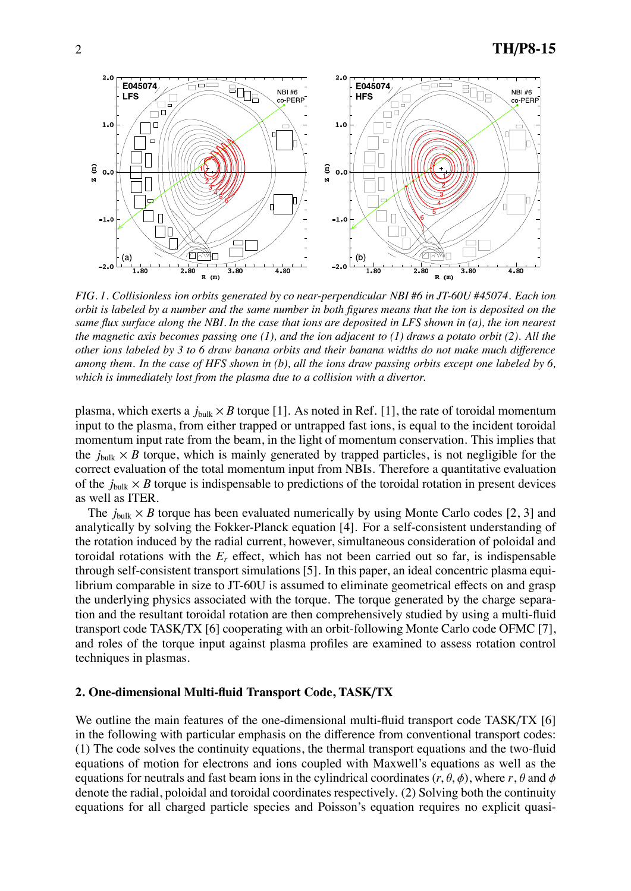

*FIG. 1. Collisionless ion orbits generated by co near-perpendicular NBI #6 in JT-60U #45074. Each ion orbit is labeled by a number and the same number in both figures means that the ion is deposited on the same flux surface along the NBI. In the case that ions are deposited in LFS shown in (a), the ion nearest the magnetic axis becomes passing one (1), and the ion adjacent to (1) draws a potato orbit (2). All the other ions labeled by 3 to 6 draw banana orbits and their banana widths do not make much di*ff*erence among them. In the case of HFS shown in (b), all the ions draw passing orbits except one labeled by 6, which is immediately lost from the plasma due to a collision with a divertor.*

plasma, which exerts a  $j_{bulk} \times B$  torque [1]. As noted in Ref. [1], the rate of toroidal momentum input to the plasma, from either trapped or untrapped fast ions, is equal to the incident toroidal momentum input rate from the beam, in the light of momentum conservation. This implies that the  $j_{bulk} \times B$  torque, which is mainly generated by trapped particles, is not negligible for the correct evaluation of the total momentum input from NBIs. Therefore a quantitative evaluation of the  $j_{\text{bulk}} \times B$  torque is indispensable to predictions of the toroidal rotation in present devices as well as ITER.

The  $j_{bulk} \times B$  torque has been evaluated numerically by using Monte Carlo codes [2, 3] and analytically by solving the Fokker-Planck equation [4]. For a self-consistent understanding of the rotation induced by the radial current, however, simultaneous consideration of poloidal and toroidal rotations with the *Er* effect, which has not been carried out so far, is indispensable through self-consistent transport simulations [5]. In this paper, an ideal concentric plasma equilibrium comparable in size to JT-60U is assumed to eliminate geometrical effects on and grasp the underlying physics associated with the torque. The torque generated by the charge separation and the resultant toroidal rotation are then comprehensively studied by using a multi-fluid transport code TASK/TX [6] cooperating with an orbit-following Monte Carlo code OFMC [7], and roles of the torque input against plasma profiles are examined to assess rotation control techniques in plasmas.

## **2. One-dimensional Multi-fluid Transport Code, TASK**/**TX**

We outline the main features of the one-dimensional multi-fluid transport code TASK/TX [6] in the following with particular emphasis on the difference from conventional transport codes: (1) The code solves the continuity equations, the thermal transport equations and the two-fluid equations of motion for electrons and ions coupled with Maxwell's equations as well as the equations for neutrals and fast beam ions in the cylindrical coordinates  $(r, \theta, \phi)$ , where  $r, \theta$  and  $\phi$ denote the radial, poloidal and toroidal coordinates respectively. (2) Solving both the continuity equations for all charged particle species and Poisson's equation requires no explicit quasi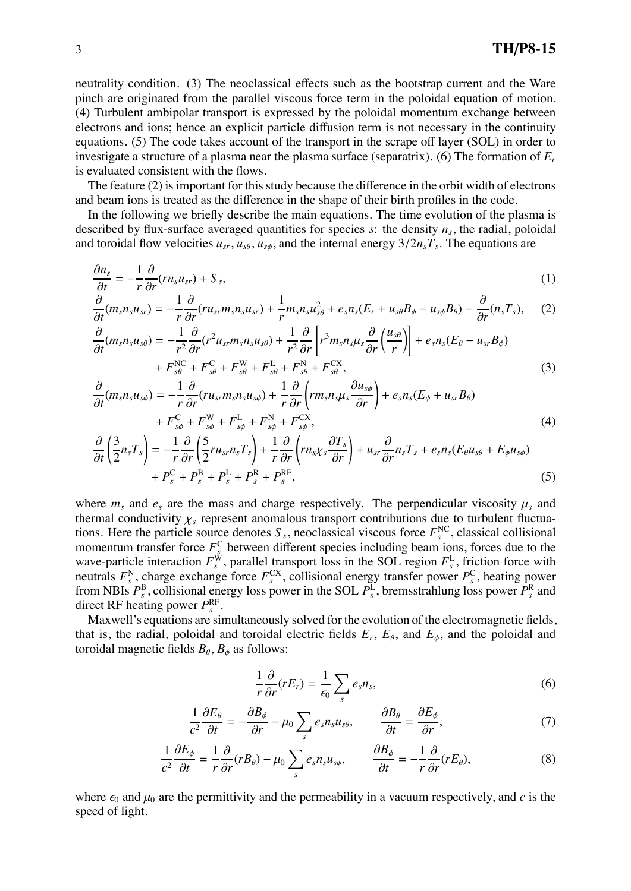neutrality condition. (3) The neoclassical effects such as the bootstrap current and the Ware pinch are originated from the parallel viscous force term in the poloidal equation of motion. (4) Turbulent ambipolar transport is expressed by the poloidal momentum exchange between electrons and ions; hence an explicit particle diffusion term is not necessary in the continuity equations. (5) The code takes account of the transport in the scrape off layer (SOL) in order to investigate a structure of a plasma near the plasma surface (separatrix). (6) The formation of *Er* is evaluated consistent with the flows.

The feature (2) is important for this study because the difference in the orbit width of electrons and beam ions is treated as the difference in the shape of their birth profiles in the code.

In the following we briefly describe the main equations. The time evolution of the plasma is described by flux-surface averaged quantities for species *s*: the density *ns*, the radial, poloidal and toroidal flow velocities  $u_{sr}$ ,  $u_{sg}$ ,  $u_{sg}$ , and the internal energy  $3/2n_sT_s$ . The equations are

$$
\frac{\partial n_s}{\partial t} = -\frac{1}{r} \frac{\partial}{\partial r} (r n_s u_{sr}) + S_s,\tag{1}
$$

$$
\frac{\partial}{\partial t}(m_s n_s u_{sr}) = -\frac{1}{r}\frac{\partial}{\partial r}(r u_{sr} m_s n_s u_{sr}) + \frac{1}{r}m_s n_s u_{s\theta}^2 + e_s n_s (E_r + u_{s\theta} B_\phi - u_{s\phi} B_\theta) - \frac{\partial}{\partial r}(n_s T_s), \quad (2)
$$

$$
\frac{\partial}{\partial t}(m_s n_s u_{s\theta}) = -\frac{1}{r^2} \frac{\partial}{\partial r}(r^2 u_{sr} m_s n_s u_{s\theta}) + \frac{1}{r^2} \frac{\partial}{\partial r} \left[ r^3 m_s n_s \mu_s \frac{\partial}{\partial r} \left( \frac{u_{s\theta}}{r} \right) \right] + e_s n_s (E_\theta - u_{sr} B_\phi) + F_{s\theta}^{\text{NC}} + F_{s\theta}^{\text{C}} + F_{s\theta}^{\text{W}} + F_{s\theta}^{\text{L}} + F_{s\theta}^{\text{N}} + F_{s\theta}^{\text{CX}},
$$
\n(3)

$$
\frac{\partial}{\partial t}(m_s n_s u_{s\phi}) = -\frac{1}{r} \frac{\partial}{\partial r}(r u_{sr} m_s n_s u_{s\phi}) + \frac{1}{r} \frac{\partial}{\partial r}\left(r m_s n_s \mu_s \frac{\partial u_{s\phi}}{\partial r}\right) + e_s n_s (E_{\phi} + u_{sr} B_{\theta}) \n+ F_{s\phi}^{\text{C}} + F_{s\phi}^{\text{W}} + F_{s\phi}^{\text{L}} + F_{s\phi}^{\text{N}} + F_{s\phi}^{\text{CX}},
$$
\n(4)

$$
\frac{\partial}{\partial t} \left( \frac{3}{2} n_s T_s \right) = -\frac{1}{r} \frac{\partial}{\partial r} \left( \frac{5}{2} r u_{sr} n_s T_s \right) + \frac{1}{r} \frac{\partial}{\partial r} \left( r n_s \chi_s \frac{\partial T_s}{\partial r} \right) + u_{sr} \frac{\partial}{\partial r} n_s T_s + e_s n_s (E_\theta u_{s\theta} + E_\phi u_{s\phi}) + P_s^{\text{C}} + P_s^{\text{B}} + P_s^{\text{L}} + P_s^{\text{R}} + P_s^{\text{R}}; \tag{5}
$$

where  $m_s$  and  $e_s$  are the mass and charge respectively. The perpendicular viscosity  $\mu_s$  and thermal conductivity  $\chi_s$  represent anomalous transport contributions due to turbulent fluctuations. Here the particle source denotes  $S_s$ , neoclassical viscous force  $F_s^{\text{NC}}$ , classical collisional momentum transfer force  $F_s^C$  between different species including beam ions, forces due to the wave-particle interaction  $F_s^W$ , parallel transport loss in the SOL region  $F_s^L$ , friction force with neutrals  $F_s^N$ , charge exchange force  $F_s^{\text{CX}}$ , collisional energy transfer power  $P_s^{\text{C}}$ , heating power from NBIs  $P_s^B$ , collisional energy loss power in the SOL  $P_s^L$ , bremsstrahlung loss power  $P_s^R$  and direct RF heating power  $P_s^{\text{RF}}$ .

Maxwell's equations are simultaneously solved for the evolution of the electromagnetic fields, that is, the radial, poloidal and toroidal electric fields  $E_r$ ,  $E_\theta$ , and  $E_\phi$ , and the poloidal and toroidal magnetic fields  $B_{\theta}$ ,  $B_{\phi}$  as follows:

$$
\frac{1}{r}\frac{\partial}{\partial r}(rE_r) = \frac{1}{\epsilon_0} \sum_s e_s n_s,\tag{6}
$$

$$
\frac{1}{c^2}\frac{\partial E_\theta}{\partial t} = -\frac{\partial B_\phi}{\partial r} - \mu_0 \sum_s e_s n_s u_{s\theta}, \qquad \frac{\partial B_\theta}{\partial t} = \frac{\partial E_\phi}{\partial r},\tag{7}
$$

$$
\frac{1}{c^2}\frac{\partial E_{\phi}}{\partial t} = \frac{1}{r}\frac{\partial}{\partial r}(rB_{\theta}) - \mu_0 \sum_{s} e_{s}n_{s}u_{s\phi}, \qquad \frac{\partial B_{\phi}}{\partial t} = -\frac{1}{r}\frac{\partial}{\partial r}(rE_{\theta}), \tag{8}
$$

where  $\epsilon_0$  and  $\mu_0$  are the permittivity and the permeability in a vacuum respectively, and *c* is the speed of light.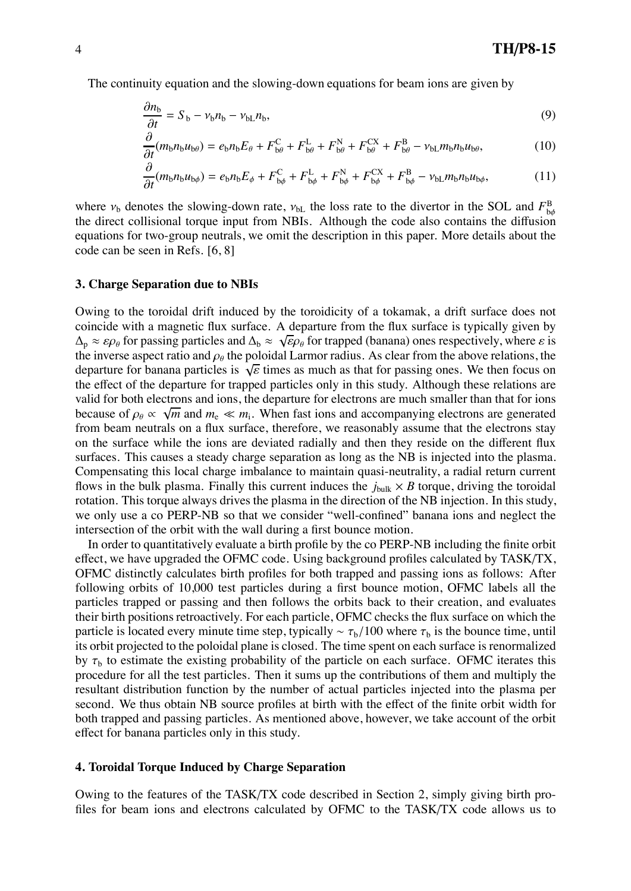The continuity equation and the slowing-down equations for beam ions are given by

$$
\frac{\partial n_{\rm b}}{\partial t} = S_{\rm b} - \nu_{\rm b} n_{\rm b} - \nu_{\rm b} n_{\rm b},\tag{9}
$$

$$
\frac{\partial}{\partial t}(m_{\mathrm{b}}n_{\mathrm{b}}u_{\mathrm{b}\theta}) = e_{\mathrm{b}}n_{\mathrm{b}}E_{\theta} + F_{\mathrm{b}\theta}^{\mathrm{C}} + F_{\mathrm{b}\theta}^{\mathrm{L}} + F_{\mathrm{b}\theta}^{\mathrm{N}} + F_{\mathrm{b}\theta}^{\mathrm{CX}} + F_{\mathrm{b}\theta}^{\mathrm{B}} - \nu_{\mathrm{b}\mathrm{L}}m_{\mathrm{b}}n_{\mathrm{b}}u_{\mathrm{b}\theta},\tag{10}
$$

$$
\frac{\partial}{\partial t}(m_{\mathrm{b}}n_{\mathrm{b}}u_{\mathrm{b}\phi}) = e_{\mathrm{b}}n_{\mathrm{b}}E_{\phi} + F_{\mathrm{b}\phi}^{\mathrm{C}} + F_{\mathrm{b}\phi}^{\mathrm{L}} + F_{\mathrm{b}\phi}^{\mathrm{N}} + F_{\mathrm{b}\phi}^{\mathrm{CX}} + F_{\mathrm{b}\phi}^{\mathrm{B}} - \nu_{\mathrm{bL}}m_{\mathrm{b}}n_{\mathrm{b}}u_{\mathrm{b}\phi},\tag{11}
$$

where  $v<sub>b</sub>$  denotes the slowing-down rate,  $v<sub>bL</sub>$  the loss rate to the divertor in the SOL and  $F<sup>B</sup><sub>b¢</sub>$ the direct collisional torque input from NBIs. Although the code also contains the diffusion equations for two-group neutrals, we omit the description in this paper. More details about the code can be seen in Refs. [6, 8]

#### **3. Charge Separation due to NBIs**

Owing to the toroidal drift induced by the toroidicity of a tokamak, a drift surface does not coincide with a magnetic flux surface. A departure from the flux surface is typically given by  $\Delta_p \approx \varepsilon \rho_\theta$  for passing particles and  $\Delta_b \approx \sqrt{\varepsilon} \rho_\theta$  for trapped (banana) ones respectively, where  $\varepsilon$  is the inverse aspect ratio and  $\rho_{\theta}$  the poloidal Larmor radius. As clear from the above relations, the departure for banana particles is  $\sqrt{\varepsilon}$  times as much as that for passing ones. We then focus on the effect of the departure for trapped particles only in this study. Although these relations are valid for both electrons and ions, the departure for electrons are much smaller than that for ions because of  $\rho_{\theta} \propto \sqrt{m}$  and  $m_e \ll m_i$ . When fast ions and accompanying electrons are generated from beam neutrals on a flux surface, therefore, we reasonably assume that the electrons stay on the surface while the ions are deviated radially and then they reside on the different flux surfaces. This causes a steady charge separation as long as the NB is injected into the plasma. Compensating this local charge imbalance to maintain quasi-neutrality, a radial return current flows in the bulk plasma. Finally this current induces the  $j_{bulk} \times B$  torque, driving the toroidal rotation. This torque always drives the plasma in the direction of the NB injection. In this study, we only use a co PERP-NB so that we consider "well-confined" banana ions and neglect the intersection of the orbit with the wall during a first bounce motion.

In order to quantitatively evaluate a birth profile by the co PERP-NB including the finite orbit effect, we have upgraded the OFMC code. Using background profiles calculated by TASK/TX, OFMC distinctly calculates birth profiles for both trapped and passing ions as follows: After following orbits of 10,000 test particles during a first bounce motion, OFMC labels all the particles trapped or passing and then follows the orbits back to their creation, and evaluates their birth positions retroactively. For each particle, OFMC checks the flux surface on which the particle is located every minute time step, typically  $\sim \tau_b/100$  where  $\tau_b$  is the bounce time, until its orbit projected to the poloidal plane is closed. The time spent on each surface is renormalized by  $\tau_b$  to estimate the existing probability of the particle on each surface. OFMC iterates this procedure for all the test particles. Then it sums up the contributions of them and multiply the resultant distribution function by the number of actual particles injected into the plasma per second. We thus obtain NB source profiles at birth with the effect of the finite orbit width for both trapped and passing particles. As mentioned above, however, we take account of the orbit effect for banana particles only in this study.

## **4. Toroidal Torque Induced by Charge Separation**

Owing to the features of the TASK/TX code described in Section 2, simply giving birth profiles for beam ions and electrons calculated by OFMC to the TASK/TX code allows us to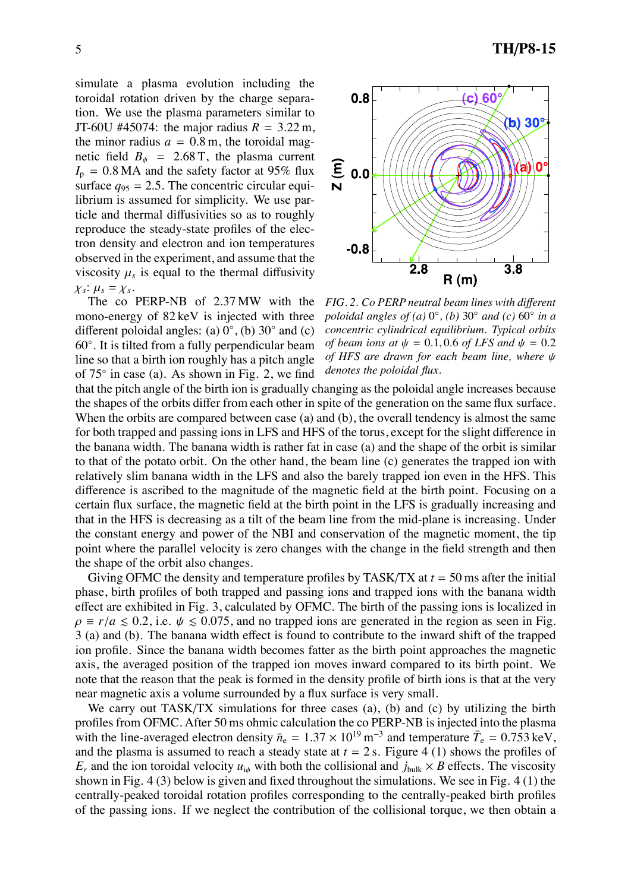simulate a plasma evolution including the toroidal rotation driven by the charge separation. We use the plasma parameters similar to JT-60U #45074: the major radius  $R = 3.22$  m, the minor radius  $a = 0.8$  m, the toroidal magnetic field  $B_{\phi}$  = 2.68 T, the plasma current  $I_p = 0.8 \text{ MA}$  and the safety factor at 95% flux surface  $q_{95} = 2.5$ . The concentric circular equilibrium is assumed for simplicity. We use particle and thermal diffusivities so as to roughly reproduce the steady-state profiles of the electron density and electron and ion temperatures observed in the experiment, and assume that the viscosity  $\mu_s$  is equal to the thermal diffusivity  $\chi_s$ :  $\mu_s = \chi_s$ .

The co PERP-NB of 2.37 MW with the mono-energy of 82 keV is injected with three different poloidal angles: (a)  $0^\circ$ , (b)  $30^\circ$  and (c) 60◦ . It is tilted from a fully perpendicular beam line so that a birth ion roughly has a pitch angle of 75◦ in case (a). As shown in Fig. 2, we find



*FIG. 2. Co PERP neutral beam lines with di*ff*erent poloidal angles of (a)* 0◦*, (b)* 30◦ *and (c)* 60◦ *in a concentric cylindrical equilibrium. Typical orbits of beam ions at*  $\psi = 0.1, 0.6$  *of LFS and*  $\psi = 0.2$ *of HFS are drawn for each beam line, where* ψ *denotes the poloidal flux.*

that the pitch angle of the birth ion is gradually changing as the poloidal angle increases because the shapes of the orbits differ from each other in spite of the generation on the same flux surface. When the orbits are compared between case (a) and (b), the overall tendency is almost the same for both trapped and passing ions in LFS and HFS of the torus, except for the slight difference in the banana width. The banana width is rather fat in case (a) and the shape of the orbit is similar to that of the potato orbit. On the other hand, the beam line (c) generates the trapped ion with relatively slim banana width in the LFS and also the barely trapped ion even in the HFS. This difference is ascribed to the magnitude of the magnetic field at the birth point. Focusing on a certain flux surface, the magnetic field at the birth point in the LFS is gradually increasing and that in the HFS is decreasing as a tilt of the beam line from the mid-plane is increasing. Under the constant energy and power of the NBI and conservation of the magnetic moment, the tip point where the parallel velocity is zero changes with the change in the field strength and then the shape of the orbit also changes.

Giving OFMC the density and temperature profiles by TASK/TX at *t* = 50 ms after the initial phase, birth profiles of both trapped and passing ions and trapped ions with the banana width effect are exhibited in Fig. 3, calculated by OFMC. The birth of the passing ions is localized in  $\rho \equiv r/a \le 0.2$ , i.e.  $\psi \le 0.075$ , and no trapped ions are generated in the region as seen in Fig. 3 (a) and (b). The banana width effect is found to contribute to the inward shift of the trapped ion profile. Since the banana width becomes fatter as the birth point approaches the magnetic axis, the averaged position of the trapped ion moves inward compared to its birth point. We note that the reason that the peak is formed in the density profile of birth ions is that at the very near magnetic axis a volume surrounded by a flux surface is very small.

We carry out TASK/TX simulations for three cases (a), (b) and (c) by utilizing the birth profiles from OFMC. After 50 ms ohmic calculation the co PERP-NB is injected into the plasma with the line-averaged electron density  $\bar{n}_e = 1.37 \times 10^{19} \text{ m}^{-3}$  and temperature  $\bar{T}_e = 0.753 \text{ keV}$ , and the plasma is assumed to reach a steady state at  $t = 2$  s. Figure 4 (1) shows the profiles of  $E_r$  and the ion toroidal velocity  $u_{i\phi}$  with both the collisional and  $j_{bulk} \times B$  effects. The viscosity shown in Fig. 4 (3) below is given and fixed throughout the simulations. We see in Fig. 4 (1) the centrally-peaked toroidal rotation profiles corresponding to the centrally-peaked birth profiles of the passing ions. If we neglect the contribution of the collisional torque, we then obtain a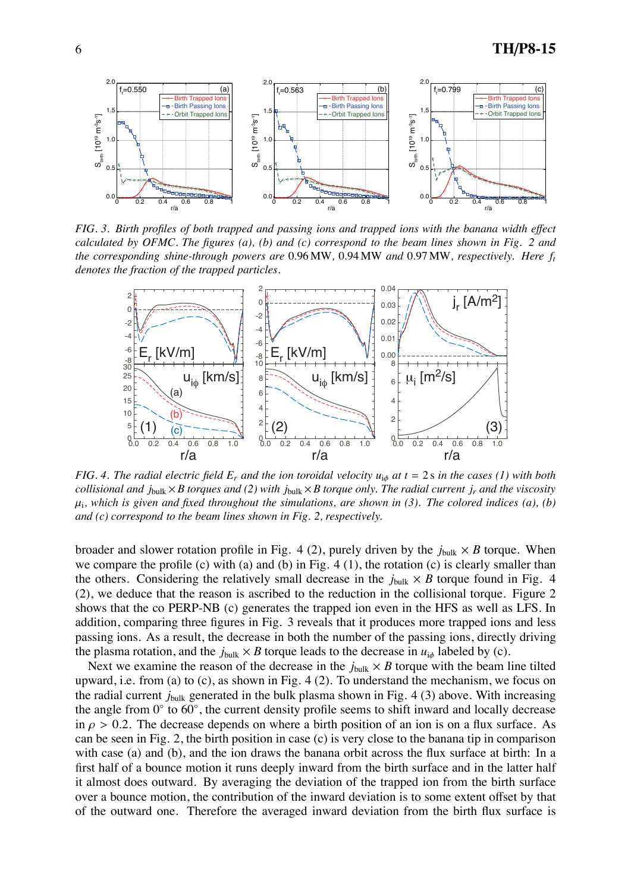

*FIG. 3. Birth profiles of both trapped and passing ions and trapped ions with the banana width e*ff*ect calculated by OFMC. The figures (a), (b) and (c) correspond to the beam lines shown in Fig. 2 and the corresponding shine-through powers are* 0.96 MW*,* 0.94 MW *and* 0.97 MW*, respectively. Here ft denotes the fraction of the trapped particles.*



*FIG.* 4. The radial electric field  $E_r$  and the ion toroidal velocity  $u_{i\phi}$  at  $t = 2$  s in the cases (1) with both *collisional and j*bulk  $\times$ *B torques and (2) with j*bulk  $\times$ *B torque only. The radial current j<sub>r</sub> and the viscosity*  $\mu_i$ , which is given and fixed throughout the simulations, are shown in (3). The colored indices (a), (b) *and (c) correspond to the beam lines shown in Fig. 2, respectively.*

broader and slower rotation profile in Fig. 4 (2), purely driven by the  $j_{bulk} \times B$  torque. When we compare the profile (c) with (a) and (b) in Fig. 4 (1), the rotation (c) is clearly smaller than the others. Considering the relatively small decrease in the  $j_{\text{bulk}} \times B$  torque found in Fig. 4 (2), we deduce that the reason is ascribed to the reduction in the collisional torque. Figure 2 shows that the co PERP-NB (c) generates the trapped ion even in the HFS as well as LFS. In addition, comparing three figures in Fig. 3 reveals that it produces more trapped ions and less passing ions. As a result, the decrease in both the number of the passing ions, directly driving the plasma rotation, and the  $j_{bulk} \times B$  torque leads to the decrease in  $u_{i\phi}$  labeled by (c).

Next we examine the reason of the decrease in the  $j_{bulk} \times B$  torque with the beam line tilted upward, i.e. from (a) to (c), as shown in Fig. 4 (2). To understand the mechanism, we focus on the radial current *j*bulk generated in the bulk plasma shown in Fig. 4 (3) above. With increasing the angle from 0◦ to 60◦, the current density profile seems to shift inward and locally decrease in  $\rho > 0.2$ . The decrease depends on where a birth position of an ion is on a flux surface. As can be seen in Fig. 2, the birth position in case (c) is very close to the banana tip in comparison with case (a) and (b), and the ion draws the banana orbit across the flux surface at birth: In a first half of a bounce motion it runs deeply inward from the birth surface and in the latter half it almost does outward. By averaging the deviation of the trapped ion from the birth surface over a bounce motion, the contribution of the inward deviation is to some extent offset by that of the outward one. Therefore the averaged inward deviation from the birth flux surface is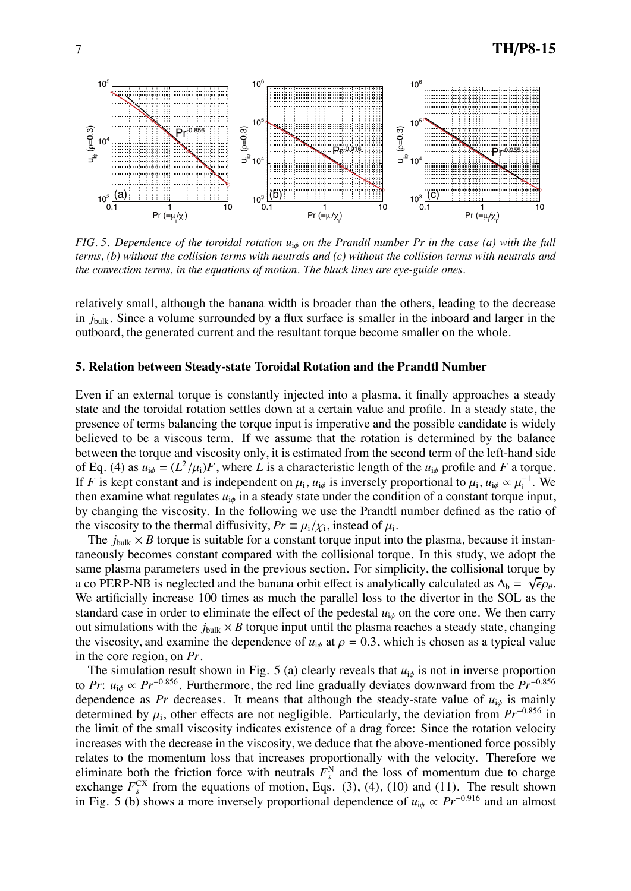

*FIG. 5. Dependence of the toroidal rotation u<sub>iφ</sub> on the Prandtl number Pr in the case (a) with the full terms, (b) without the collision terms with neutrals and (c) without the collision terms with neutrals and the convection terms, in the equations of motion. The black lines are eye-guide ones.*

relatively small, although the banana width is broader than the others, leading to the decrease in  $j_{bulk}$ . Since a volume surrounded by a flux surface is smaller in the inboard and larger in the outboard, the generated current and the resultant torque become smaller on the whole.

#### **5. Relation between Steady-state Toroidal Rotation and the Prandtl Number**

Even if an external torque is constantly injected into a plasma, it finally approaches a steady state and the toroidal rotation settles down at a certain value and profile. In a steady state, the presence of terms balancing the torque input is imperative and the possible candidate is widely believed to be a viscous term. If we assume that the rotation is determined by the balance between the torque and viscosity only, it is estimated from the second term of the left-hand side of Eq. (4) as  $u_{i\phi} = (L^2/\mu_i)F$ , where *L* is a characteristic length of the  $u_{i\phi}$  profile and *F* a torque. If *F* is kept constant and is independent on  $\mu_i$ ,  $u_{i\phi}$  is inversely proportional to  $\mu_i$ ,  $u_{i\phi} \propto \mu_i^{-1}$ . We then examine what regulates  $u_{i\phi}$  in a steady state under the condition of a constant torque input, by changing the viscosity. In the following we use the Prandtl number defined as the ratio of the viscosity to the thermal diffusivity,  $Pr = \mu_i / \chi_i$ , instead of  $\mu_i$ .

The  $j_{\text{bulk}} \times B$  torque is suitable for a constant torque input into the plasma, because it instantaneously becomes constant compared with the collisional torque. In this study, we adopt the same plasma parameters used in the previous section. For simplicity, the collisional torque by a co PERP-NB is neglected and the banana orbit effect is analytically calculated as  $\Delta_b = \sqrt{\epsilon} \rho_\theta$ . We artificially increase 100 times as much the parallel loss to the divertor in the SOL as the standard case in order to eliminate the effect of the pedestal  $u_{i\phi}$  on the core one. We then carry out simulations with the  $j_{\text{bulk}} \times B$  torque input until the plasma reaches a steady state, changing the viscosity, and examine the dependence of  $u_{i\phi}$  at  $\rho = 0.3$ , which is chosen as a typical value in the core region, on *Pr*.

The simulation result shown in Fig. 5 (a) clearly reveals that  $u_{i\phi}$  is not in inverse proportion to *Pr*: *u*i<sup>φ</sup> ∝ *Pr*−0.856. Furthermore, the red line gradually deviates downward from the *Pr*−0.<sup>856</sup> dependence as *Pr* decreases. It means that although the steady-state value of  $u_{i\phi}$  is mainly determined by  $\mu_i$ , other effects are not negligible. Particularly, the deviation from  $Pr^{-0.856}$  in the limit of the small viscosity indicates existence of a drag force: Since the rotation velocity increases with the decrease in the viscosity, we deduce that the above-mentioned force possibly relates to the momentum loss that increases proportionally with the velocity. Therefore we eliminate both the friction force with neutrals  $F_s^N$  and the loss of momentum due to charge exchange  $F_s^{\text{CX}}$  from the equations of motion, Eqs. (3), (4), (10) and (11). The result shown in Fig. 5 (b) shows a more inversely proportional dependence of  $u_{i\phi} \propto Pr^{-0.916}$  and an almost